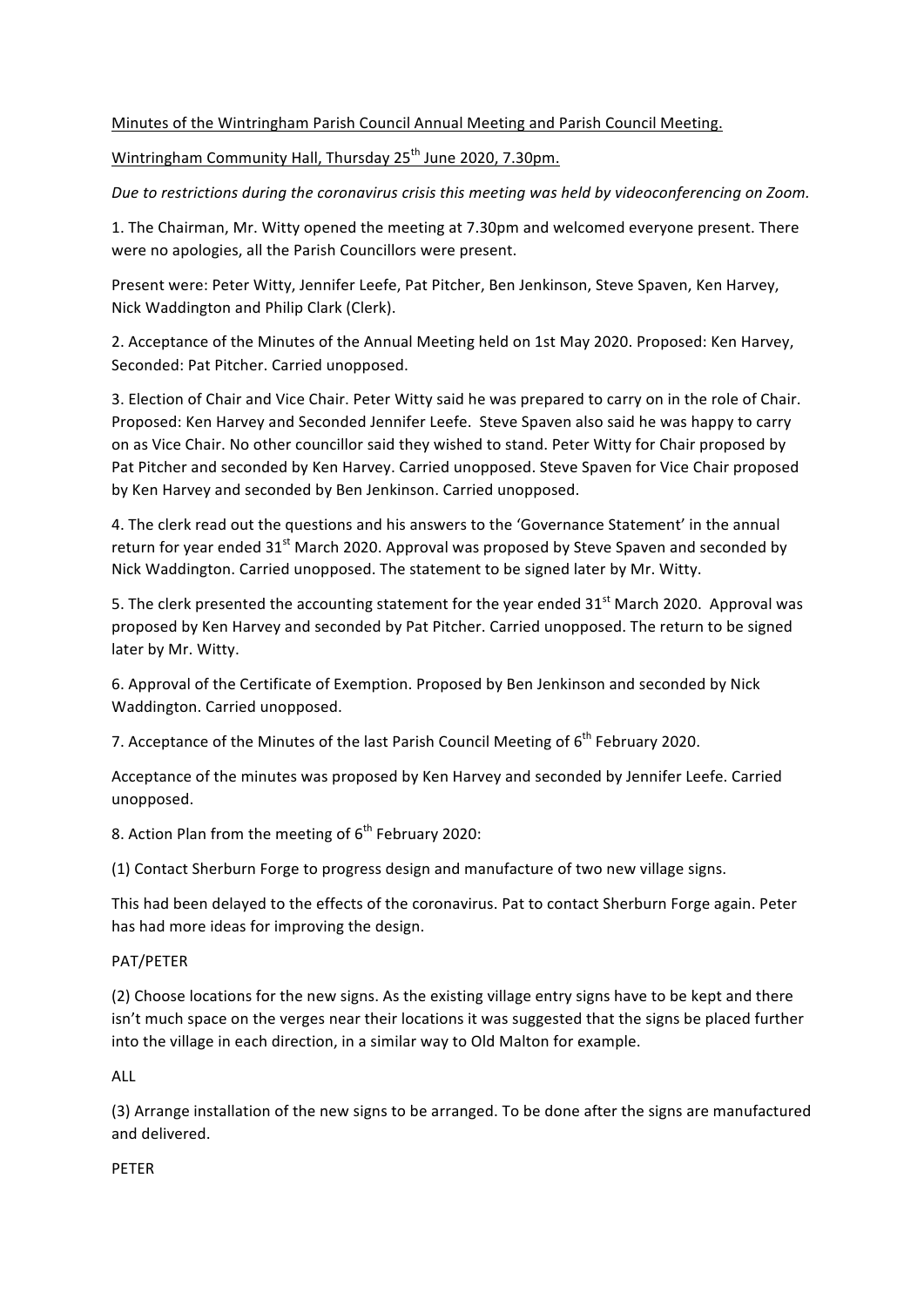## Minutes of the Wintringham Parish Council Annual Meeting and Parish Council Meeting.

Wintringham Community Hall, Thursday 25<sup>th</sup> June 2020, 7.30pm.

Due to restrictions during the coronavirus crisis this meeting was held by videoconferencing on Zoom.

1. The Chairman, Mr. Witty opened the meeting at 7.30pm and welcomed everyone present. There were no apologies, all the Parish Councillors were present.

Present were: Peter Witty, Jennifer Leefe, Pat Pitcher, Ben Jenkinson, Steve Spaven, Ken Harvey, Nick Waddington and Philip Clark (Clerk).

2. Acceptance of the Minutes of the Annual Meeting held on 1st May 2020. Proposed: Ken Harvey, Seconded: Pat Pitcher. Carried unopposed.

3. Election of Chair and Vice Chair. Peter Witty said he was prepared to carry on in the role of Chair. Proposed: Ken Harvey and Seconded Jennifer Leefe. Steve Spaven also said he was happy to carry on as Vice Chair. No other councillor said they wished to stand. Peter Witty for Chair proposed by Pat Pitcher and seconded by Ken Harvey. Carried unopposed. Steve Spaven for Vice Chair proposed by Ken Harvey and seconded by Ben Jenkinson. Carried unopposed.

4. The clerk read out the questions and his answers to the 'Governance Statement' in the annual return for year ended  $31<sup>st</sup>$  March 2020. Approval was proposed by Steve Spaven and seconded by Nick Waddington. Carried unopposed. The statement to be signed later by Mr. Witty.

5. The clerk presented the accounting statement for the year ended  $31<sup>st</sup>$  March 2020. Approval was proposed by Ken Harvey and seconded by Pat Pitcher. Carried unopposed. The return to be signed later by Mr. Witty.

6. Approval of the Certificate of Exemption. Proposed by Ben Jenkinson and seconded by Nick Waddington. Carried unopposed.

7. Acceptance of the Minutes of the last Parish Council Meeting of  $6<sup>th</sup>$  February 2020.

Acceptance of the minutes was proposed by Ken Harvey and seconded by Jennifer Leefe. Carried unopposed.

8. Action Plan from the meeting of  $6<sup>th</sup>$  February 2020:

(1) Contact Sherburn Forge to progress design and manufacture of two new village signs.

This had been delayed to the effects of the coronavirus. Pat to contact Sherburn Forge again. Peter has had more ideas for improving the design.

## PAT/PETER

(2) Choose locations for the new signs. As the existing village entry signs have to be kept and there isn't much space on the verges near their locations it was suggested that the signs be placed further into the village in each direction, in a similar way to Old Malton for example.

ALL

(3) Arrange installation of the new signs to be arranged. To be done after the signs are manufactured and delivered.

PETER